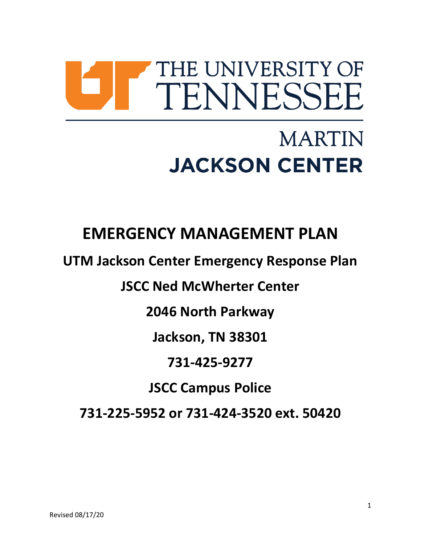# THE UNIVERSITY OF TENNESSEE

# **MARTIN JACKSON CENTER**

# **EMERGENCY MANAGEMENT PLAN**

**UTM Jackson Center Emergency Response Plan**

**JSCC Ned McWherter Center**

**2046 North Parkway** 

**Jackson, TN 38301**

## **731-425-9277**

# **JSCC Campus Police**

**731-225-5952 or 731-424-3520 ext. 50420**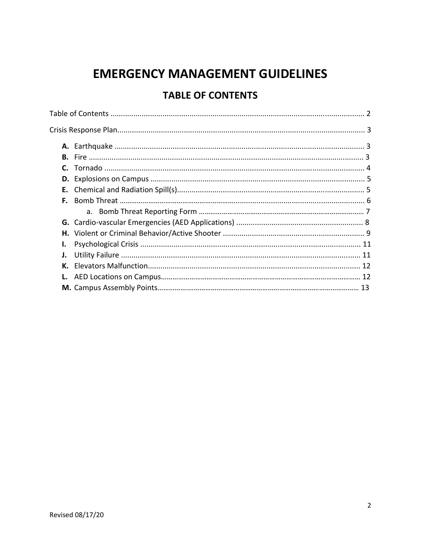# **EMERGENCY MANAGEMENT GUIDELINES**

### **TABLE OF CONTENTS**

| F. |  |  |  |
|----|--|--|--|
|    |  |  |  |
|    |  |  |  |
|    |  |  |  |
|    |  |  |  |
| J. |  |  |  |
| К. |  |  |  |
|    |  |  |  |
|    |  |  |  |
|    |  |  |  |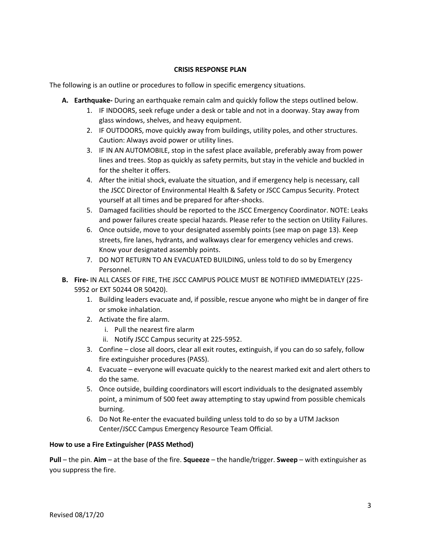#### **CRISIS RESPONSE PLAN**

The following is an outline or procedures to follow in specific emergency situations.

- **A. Earthquake-** During an earthquake remain calm and quickly follow the steps outlined below.
	- 1. IF INDOORS, seek refuge under a desk or table and not in a doorway. Stay away from glass windows, shelves, and heavy equipment.
	- 2. IF OUTDOORS, move quickly away from buildings, utility poles, and other structures. Caution: Always avoid power or utility lines.
	- 3. IF IN AN AUTOMOBILE, stop in the safest place available, preferably away from power lines and trees. Stop as quickly as safety permits, but stay in the vehicle and buckled in for the shelter it offers.
	- 4. After the initial shock, evaluate the situation, and if emergency help is necessary, call the JSCC Director of Environmental Health & Safety or JSCC Campus Security. Protect yourself at all times and be prepared for after-shocks.
	- 5. Damaged facilities should be reported to the JSCC Emergency Coordinator. NOTE: Leaks and power failures create special hazards. Please refer to the section on Utility Failures.
	- 6. Once outside, move to your designated assembly points (see map on page 13). Keep streets, fire lanes, hydrants, and walkways clear for emergency vehicles and crews. Know your designated assembly points.
	- 7. DO NOT RETURN TO AN EVACUATED BUILDING, unless told to do so by Emergency Personnel.
- **B. Fire-** IN ALL CASES OF FIRE, THE JSCC CAMPUS POLICE MUST BE NOTIFIED IMMEDIATELY (225- 5952 or EXT 50244 OR 50420).
	- 1. Building leaders evacuate and, if possible, rescue anyone who might be in danger of fire or smoke inhalation.
	- 2. Activate the fire alarm.
		- i. Pull the nearest fire alarm
		- ii. Notify JSCC Campus security at 225-5952.
	- 3. Confine close all doors, clear all exit routes, extinguish, if you can do so safely, follow fire extinguisher procedures (PASS).
	- 4. Evacuate everyone will evacuate quickly to the nearest marked exit and alert others to do the same.
	- 5. Once outside, building coordinators will escort individuals to the designated assembly point, a minimum of 500 feet away attempting to stay upwind from possible chemicals burning.
	- 6. Do Not Re-enter the evacuated building unless told to do so by a UTM Jackson Center/JSCC Campus Emergency Resource Team Official.

#### **How to use a Fire Extinguisher (PASS Method)**

**Pull** – the pin. **Aim** – at the base of the fire. **Squeeze** – the handle/trigger. **Sweep** – with extinguisher as you suppress the fire.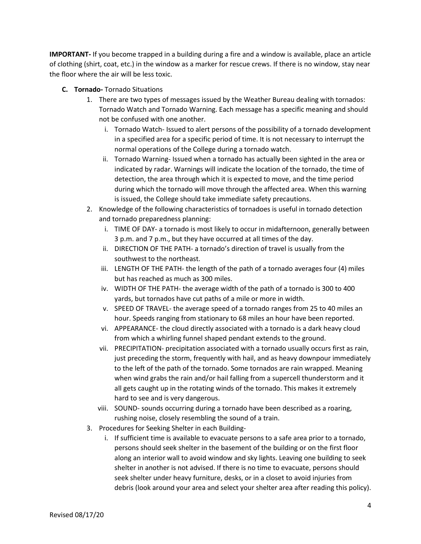**IMPORTANT-** If you become trapped in a building during a fire and a window is available, place an article of clothing (shirt, coat, etc.) in the window as a marker for rescue crews. If there is no window, stay near the floor where the air will be less toxic.

- **C. Tornado-** Tornado Situations
	- 1. There are two types of messages issued by the Weather Bureau dealing with tornados: Tornado Watch and Tornado Warning. Each message has a specific meaning and should not be confused with one another.
		- i. Tornado Watch- Issued to alert persons of the possibility of a tornado development in a specified area for a specific period of time. It is not necessary to interrupt the normal operations of the College during a tornado watch.
		- ii. Tornado Warning- Issued when a tornado has actually been sighted in the area or indicated by radar. Warnings will indicate the location of the tornado, the time of detection, the area through which it is expected to move, and the time period during which the tornado will move through the affected area. When this warning is issued, the College should take immediate safety precautions.
	- 2. Knowledge of the following characteristics of tornadoes is useful in tornado detection and tornado preparedness planning:
		- i. TIME OF DAY- a tornado is most likely to occur in midafternoon, generally between 3 p.m. and 7 p.m., but they have occurred at all times of the day.
		- ii. DIRECTION OF THE PATH- a tornado's direction of travel is usually from the southwest to the northeast.
		- iii. LENGTH OF THE PATH- the length of the path of a tornado averages four (4) miles but has reached as much as 300 miles.
		- iv. WIDTH OF THE PATH- the average width of the path of a tornado is 300 to 400 yards, but tornados have cut paths of a mile or more in width.
		- v. SPEED OF TRAVEL- the average speed of a tornado ranges from 25 to 40 miles an hour. Speeds ranging from stationary to 68 miles an hour have been reported.
		- vi. APPEARANCE- the cloud directly associated with a tornado is a dark heavy cloud from which a whirling funnel shaped pendant extends to the ground.
		- vii. PRECIPITATION- precipitation associated with a tornado usually occurs first as rain, just preceding the storm, frequently with hail, and as heavy downpour immediately to the left of the path of the tornado. Some tornados are rain wrapped. Meaning when wind grabs the rain and/or hail falling from a supercell thunderstorm and it all gets caught up in the rotating winds of the tornado. This makes it extremely hard to see and is very dangerous.
		- viii. SOUND- sounds occurring during a tornado have been described as a roaring, rushing noise, closely resembling the sound of a train.
	- 3. Procedures for Seeking Shelter in each Building
		- i. If sufficient time is available to evacuate persons to a safe area prior to a tornado, persons should seek shelter in the basement of the building or on the first floor along an interior wall to avoid window and sky lights. Leaving one building to seek shelter in another is not advised. If there is no time to evacuate, persons should seek shelter under heavy furniture, desks, or in a closet to avoid injuries from debris (look around your area and select your shelter area after reading this policy).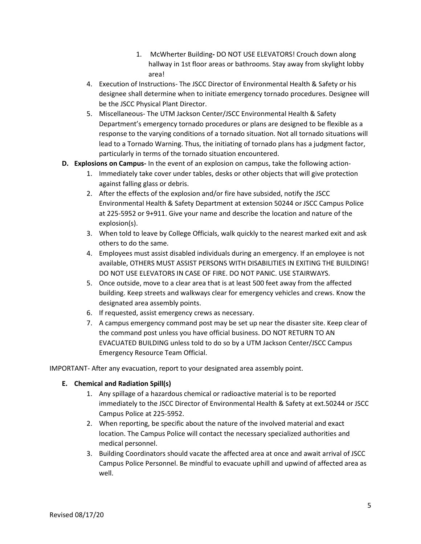- 1. McWherter Building**-** DO NOT USE ELEVATORS! Crouch down along hallway in 1st floor areas or bathrooms. Stay away from skylight lobby area!
- 4. Execution of Instructions- The JSCC Director of Environmental Health & Safety or his designee shall determine when to initiate emergency tornado procedures. Designee will be the JSCC Physical Plant Director.
- 5. Miscellaneous- The UTM Jackson Center/JSCC Environmental Health & Safety Department's emergency tornado procedures or plans are designed to be flexible as a response to the varying conditions of a tornado situation. Not all tornado situations will lead to a Tornado Warning. Thus, the initiating of tornado plans has a judgment factor, particularly in terms of the tornado situation encountered.
- **D. Explosions on Campus-** In the event of an explosion on campus, take the following action-
	- 1. Immediately take cover under tables, desks or other objects that will give protection against falling glass or debris.
	- 2. After the effects of the explosion and/or fire have subsided, notify the JSCC Environmental Health & Safety Department at extension 50244 or JSCC Campus Police at 225-5952 or 9+911. Give your name and describe the location and nature of the explosion(s).
	- 3. When told to leave by College Officials, walk quickly to the nearest marked exit and ask others to do the same.
	- 4. Employees must assist disabled individuals during an emergency. If an employee is not available, OTHERS MUST ASSIST PERSONS WITH DISABILITIES IN EXITING THE BUILDING! DO NOT USE ELEVATORS IN CASE OF FIRE. DO NOT PANIC. USE STAIRWAYS.
	- 5. Once outside, move to a clear area that is at least 500 feet away from the affected building. Keep streets and walkways clear for emergency vehicles and crews. Know the designated area assembly points.
	- 6. If requested, assist emergency crews as necessary.
	- 7. A campus emergency command post may be set up near the disaster site. Keep clear of the command post unless you have official business. DO NOT RETURN TO AN EVACUATED BUILDING unless told to do so by a UTM Jackson Center/JSCC Campus Emergency Resource Team Official.

IMPORTANT- After any evacuation, report to your designated area assembly point.

#### **E. Chemical and Radiation Spill(s)**

- 1. Any spillage of a hazardous chemical or radioactive material is to be reported immediately to the JSCC Director of Environmental Health & Safety at ext.50244 or JSCC Campus Police at 225-5952.
- 2. When reporting, be specific about the nature of the involved material and exact location. The Campus Police will contact the necessary specialized authorities and medical personnel.
- 3. Building Coordinators should vacate the affected area at once and await arrival of JSCC Campus Police Personnel. Be mindful to evacuate uphill and upwind of affected area as well.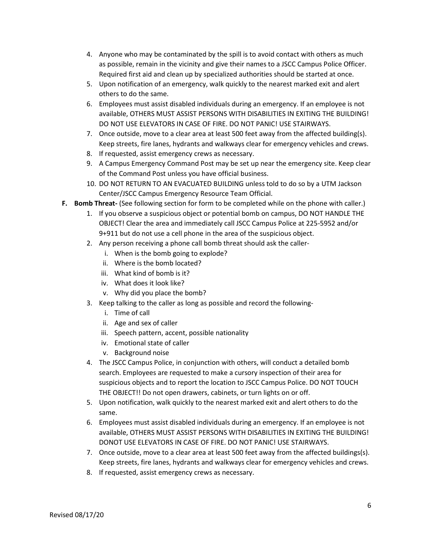- 4. Anyone who may be contaminated by the spill is to avoid contact with others as much as possible, remain in the vicinity and give their names to a JSCC Campus Police Officer. Required first aid and clean up by specialized authorities should be started at once.
- 5. Upon notification of an emergency, walk quickly to the nearest marked exit and alert others to do the same.
- 6. Employees must assist disabled individuals during an emergency. If an employee is not available, OTHERS MUST ASSIST PERSONS WITH DISABILITIES IN EXITING THE BUILDING! DO NOT USE ELEVATORS IN CASE OF FIRE. DO NOT PANIC! USE STAIRWAYS.
- 7. Once outside, move to a clear area at least 500 feet away from the affected building(s). Keep streets, fire lanes, hydrants and walkways clear for emergency vehicles and crews.
- 8. If requested, assist emergency crews as necessary.
- 9. A Campus Emergency Command Post may be set up near the emergency site. Keep clear of the Command Post unless you have official business.
- 10. DO NOT RETURN TO AN EVACUATED BUILDING unless told to do so by a UTM Jackson Center/JSCC Campus Emergency Resource Team Official.
- **F. Bomb Threat-** (See following section for form to be completed while on the phone with caller.)
	- 1. If you observe a suspicious object or potential bomb on campus, DO NOT HANDLE THE OBJECT! Clear the area and immediately call JSCC Campus Police at 225-5952 and/or 9+911 but do not use a cell phone in the area of the suspicious object.
	- 2. Any person receiving a phone call bomb threat should ask the caller
		- i. When is the bomb going to explode?
		- ii. Where is the bomb located?
		- iii. What kind of bomb is it?
		- iv. What does it look like?
		- v. Why did you place the bomb?
	- 3. Keep talking to the caller as long as possible and record the following
		- i. Time of call
		- ii. Age and sex of caller
		- iii. Speech pattern, accent, possible nationality
		- iv. Emotional state of caller
		- v. Background noise
	- 4. The JSCC Campus Police, in conjunction with others, will conduct a detailed bomb search. Employees are requested to make a cursory inspection of their area for suspicious objects and to report the location to JSCC Campus Police. DO NOT TOUCH THE OBJECT!! Do not open drawers, cabinets, or turn lights on or off.
	- 5. Upon notification, walk quickly to the nearest marked exit and alert others to do the same.
	- 6. Employees must assist disabled individuals during an emergency. If an employee is not available, OTHERS MUST ASSIST PERSONS WITH DISABILITIES IN EXITING THE BUILDING! DONOT USE ELEVATORS IN CASE OF FIRE. DO NOT PANIC! USE STAIRWAYS.
	- 7. Once outside, move to a clear area at least 500 feet away from the affected buildings(s). Keep streets, fire lanes, hydrants and walkways clear for emergency vehicles and crews.
	- 8. If requested, assist emergency crews as necessary.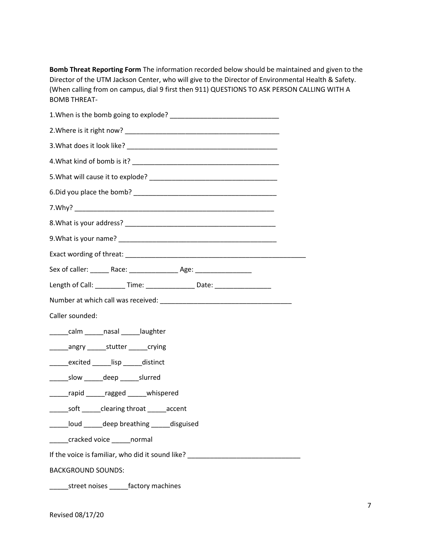**Bomb Threat Reporting Form** The information recorded below should be maintained and given to the Director of the UTM Jackson Center, who will give to the Director of Environmental Health & Safety. (When calling from on campus, dial 9 first then 911) QUESTIONS TO ASK PERSON CALLING WITH A BOMB THREAT-

| Sex of caller: ________ Race: ___________________ Age: _________________________ |  |  |
|----------------------------------------------------------------------------------|--|--|
| Length of Call: ___________ Time: _________________ Date: ______________________ |  |  |
|                                                                                  |  |  |
| Caller sounded:                                                                  |  |  |
| calm nasal laughter                                                              |  |  |
| _______angry _________stutter _______crying                                      |  |  |
| excited lisp distinct                                                            |  |  |
| _________slow ________deep _________slurred                                      |  |  |
| ______rapid ______ragged ______ whispered                                        |  |  |
| _______ soft _______ clearing throat _______ accent                              |  |  |
| ______loud ______deep breathing _____disguised                                   |  |  |
| ______cracked voice ______normal                                                 |  |  |
| If the voice is familiar, who did it sound like? _______________________________ |  |  |
| <b>BACKGROUND SOUNDS:</b>                                                        |  |  |
| ________street noises _______factory machines                                    |  |  |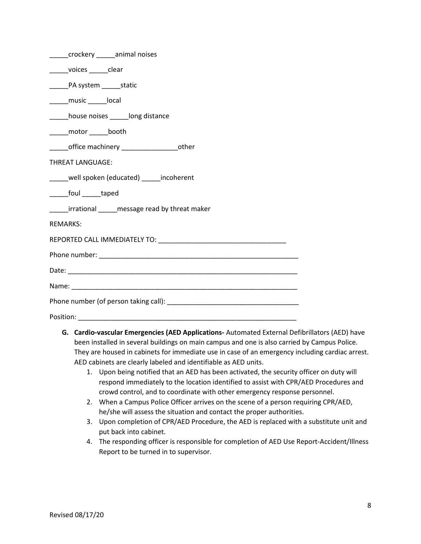| _____crockery ______animal noises                   |  |  |
|-----------------------------------------------------|--|--|
| ______voices ______clear                            |  |  |
| _______PA system ________ static                    |  |  |
| ______music _______local                            |  |  |
| _____house noises ______long distance               |  |  |
| _____motor ______booth                              |  |  |
| _______office machinery ______________________other |  |  |
| <b>THREAT LANGUAGE:</b>                             |  |  |
| _____well spoken (educated) _____ incoherent        |  |  |
| _______foul ______taped                             |  |  |
| _____irrational _____ message read by threat maker  |  |  |
| <b>REMARKS:</b>                                     |  |  |
|                                                     |  |  |
|                                                     |  |  |
|                                                     |  |  |
|                                                     |  |  |
|                                                     |  |  |
|                                                     |  |  |
|                                                     |  |  |

- **G. Cardio-vascular Emergencies (AED Applications-** Automated External Defibrillators (AED) have been installed in several buildings on main campus and one is also carried by Campus Police. They are housed in cabinets for immediate use in case of an emergency including cardiac arrest. AED cabinets are clearly labeled and identifiable as AED units.
	- 1. Upon being notified that an AED has been activated, the security officer on duty will respond immediately to the location identified to assist with CPR/AED Procedures and crowd control, and to coordinate with other emergency response personnel.
	- 2. When a Campus Police Officer arrives on the scene of a person requiring CPR/AED, he/she will assess the situation and contact the proper authorities.
	- 3. Upon completion of CPR/AED Procedure, the AED is replaced with a substitute unit and put back into cabinet.
	- 4. The responding officer is responsible for completion of AED Use Report-Accident/Illness Report to be turned in to supervisor.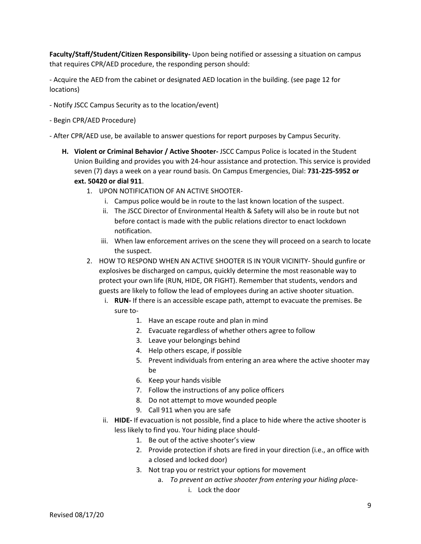**Faculty/Staff/Student/Citizen Responsibility-** Upon being notified or assessing a situation on campus that requires CPR/AED procedure, the responding person should:

- Acquire the AED from the cabinet or designated AED location in the building. (see page 12 for locations)

- Notify JSCC Campus Security as to the location/event)
- Begin CPR/AED Procedure)

- After CPR/AED use, be available to answer questions for report purposes by Campus Security.

- **H. Violent or Criminal Behavior / Active Shooter-** JSCC Campus Police is located in the Student Union Building and provides you with 24-hour assistance and protection. This service is provided seven (7) days a week on a year round basis. On Campus Emergencies, Dial: **731-225-5952 or ext. 50420 or dial 911**.
	- 1. UPON NOTIFICATION OF AN ACTIVE SHOOTER
		- i. Campus police would be in route to the last known location of the suspect.
		- ii. The JSCC Director of Environmental Health & Safety will also be in route but not before contact is made with the public relations director to enact lockdown notification.
		- iii. When law enforcement arrives on the scene they will proceed on a search to locate the suspect.
	- 2. HOW TO RESPOND WHEN AN ACTIVE SHOOTER IS IN YOUR VICINITY- Should gunfire or explosives be discharged on campus, quickly determine the most reasonable way to protect your own life (RUN, HIDE, OR FIGHT). Remember that students, vendors and guests are likely to follow the lead of employees during an active shooter situation.
		- i. **RUN-** If there is an accessible escape path, attempt to evacuate the premises. Be sure to-
			- 1. Have an escape route and plan in mind
			- 2. Evacuate regardless of whether others agree to follow
			- 3. Leave your belongings behind
			- 4. Help others escape, if possible
			- 5. Prevent individuals from entering an area where the active shooter may be
			- 6. Keep your hands visible
			- 7. Follow the instructions of any police officers
			- 8. Do not attempt to move wounded people
			- 9. Call 911 when you are safe
		- ii. **HIDE-** If evacuation is not possible, find a place to hide where the active shooter is less likely to find you. Your hiding place should-
			- 1. Be out of the active shooter's view
			- 2. Provide protection if shots are fired in your direction (i.e., an office with a closed and locked door)
			- 3. Not trap you or restrict your options for movement
				- a. *To prevent an active shooter from entering your hiding plac*e
					- i. Lock the door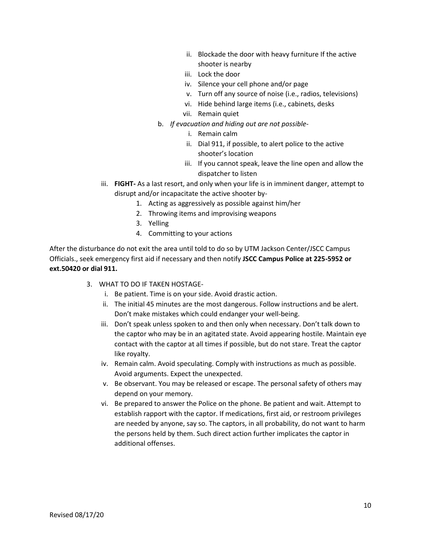- ii. Blockade the door with heavy furniture If the active shooter is nearby
- iii. Lock the door
- iv. Silence your cell phone and/or page
- v. Turn off any source of noise (i.e., radios, televisions)
- vi. Hide behind large items (i.e., cabinets, desks
- vii. Remain quiet
- b. *If evacuation and hiding out are not possible*
	- i. Remain calm
	- ii. Dial 911, if possible, to alert police to the active shooter's location
	- iii. If you cannot speak, leave the line open and allow the dispatcher to listen
- iii. **FIGHT-** As a last resort, and only when your life is in imminent danger, attempt to disrupt and/or incapacitate the active shooter by-
	- 1. Acting as aggressively as possible against him/her
	- 2. Throwing items and improvising weapons
	- 3. Yelling
	- 4. Committing to your actions

After the disturbance do not exit the area until told to do so by UTM Jackson Center/JSCC Campus Officials., seek emergency first aid if necessary and then notify **JSCC Campus Police at 225-5952 or ext.50420 or dial 911.** 

- 3. WHAT TO DO IF TAKEN HOSTAGE
	- i. Be patient. Time is on your side. Avoid drastic action.
	- ii. The initial 45 minutes are the most dangerous. Follow instructions and be alert. Don't make mistakes which could endanger your well-being.
	- iii. Don't speak unless spoken to and then only when necessary. Don't talk down to the captor who may be in an agitated state. Avoid appearing hostile. Maintain eye contact with the captor at all times if possible, but do not stare. Treat the captor like royalty.
	- iv. Remain calm. Avoid speculating. Comply with instructions as much as possible. Avoid arguments. Expect the unexpected.
	- v. Be observant. You may be released or escape. The personal safety of others may depend on your memory.
	- vi. Be prepared to answer the Police on the phone. Be patient and wait. Attempt to establish rapport with the captor. If medications, first aid, or restroom privileges are needed by anyone, say so. The captors, in all probability, do not want to harm the persons held by them. Such direct action further implicates the captor in additional offenses.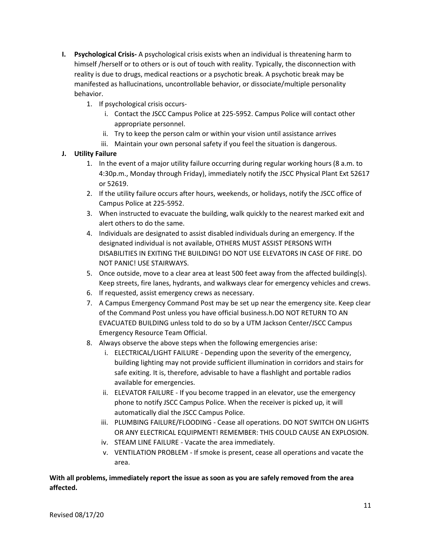- **I. Psychological Crisis-** A psychological crisis exists when an individual is threatening harm to himself /herself or to others or is out of touch with reality. Typically, the disconnection with reality is due to drugs, medical reactions or a psychotic break. A psychotic break may be manifested as hallucinations, uncontrollable behavior, or dissociate/multiple personality behavior.
	- 1. If psychological crisis occurs
		- i. Contact the JSCC Campus Police at 225-5952. Campus Police will contact other appropriate personnel.
		- ii. Try to keep the person calm or within your vision until assistance arrives
		- iii. Maintain your own personal safety if you feel the situation is dangerous.

#### **J. Utility Failure**

- 1. In the event of a major utility failure occurring during regular working hours (8 a.m. to 4:30p.m., Monday through Friday), immediately notify the JSCC Physical Plant Ext 52617 or 52619.
- 2. If the utility failure occurs after hours, weekends, or holidays, notify the JSCC office of Campus Police at 225-5952.
- 3. When instructed to evacuate the building, walk quickly to the nearest marked exit and alert others to do the same.
- 4. Individuals are designated to assist disabled individuals during an emergency. If the designated individual is not available, OTHERS MUST ASSIST PERSONS WITH DISABILITIES IN EXITING THE BUILDING! DO NOT USE ELEVATORS IN CASE OF FIRE. DO NOT PANIC! USE STAIRWAYS.
- 5. Once outside, move to a clear area at least 500 feet away from the affected building(s). Keep streets, fire lanes, hydrants, and walkways clear for emergency vehicles and crews.
- 6. If requested, assist emergency crews as necessary.
- 7. A Campus Emergency Command Post may be set up near the emergency site. Keep clear of the Command Post unless you have official business.h.DO NOT RETURN TO AN EVACUATED BUILDING unless told to do so by a UTM Jackson Center/JSCC Campus Emergency Resource Team Official.
- 8. Always observe the above steps when the following emergencies arise:
	- i. ELECTRICAL/LIGHT FAILURE Depending upon the severity of the emergency, building lighting may not provide sufficient illumination in corridors and stairs for safe exiting. It is, therefore, advisable to have a flashlight and portable radios available for emergencies.
	- ii. ELEVATOR FAILURE If you become trapped in an elevator, use the emergency phone to notify JSCC Campus Police. When the receiver is picked up, it will automatically dial the JSCC Campus Police.
	- iii. PLUMBING FAILURE/FLOODING Cease all operations. DO NOT SWITCH ON LIGHTS OR ANY ELECTRICAL EQUIPMENT! REMEMBER: THIS COULD CAUSE AN EXPLOSION.
	- iv. STEAM LINE FAILURE Vacate the area immediately.
	- v. VENTILATION PROBLEM If smoke is present, cease all operations and vacate the area.

**With all problems, immediately report the issue as soon as you are safely removed from the area affected.**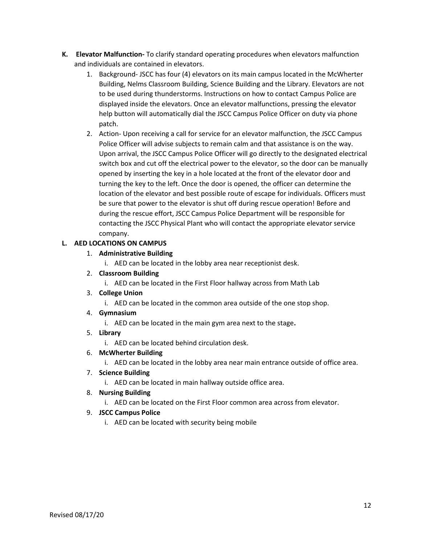- **K. Elevator Malfunction-** To clarify standard operating procedures when elevators malfunction and individuals are contained in elevators.
	- 1. Background- JSCC has four (4) elevators on its main campus located in the McWherter Building, Nelms Classroom Building, Science Building and the Library. Elevators are not to be used during thunderstorms. Instructions on how to contact Campus Police are displayed inside the elevators. Once an elevator malfunctions, pressing the elevator help button will automatically dial the JSCC Campus Police Officer on duty via phone patch.
	- 2. Action- Upon receiving a call for service for an elevator malfunction, the JSCC Campus Police Officer will advise subjects to remain calm and that assistance is on the way. Upon arrival, the JSCC Campus Police Officer will go directly to the designated electrical switch box and cut off the electrical power to the elevator, so the door can be manually opened by inserting the key in a hole located at the front of the elevator door and turning the key to the left. Once the door is opened, the officer can determine the location of the elevator and best possible route of escape for individuals. Officers must be sure that power to the elevator is shut off during rescue operation! Before and during the rescue effort, JSCC Campus Police Department will be responsible for contacting the JSCC Physical Plant who will contact the appropriate elevator service company.

#### **L. AED LOCATIONS ON CAMPUS**

#### 1. **Administrative Building**

i. AED can be located in the lobby area near receptionist desk.

#### 2. **Classroom Building**

- i. AED can be located in the First Floor hallway across from Math Lab
- 3. **College Union** 
	- i. AED can be located in the common area outside of the one stop shop.

#### 4. **Gymnasium**

- i. AED can be located in the main gym area next to the stage**.**
- 5. **Library**

i. AED can be located behind circulation desk.

#### 6. **McWherter Building**

i. AED can be located in the lobby area near main entrance outside of office area.

#### 7. **Science Building**

i. AED can be located in main hallway outside office area.

#### 8. **Nursing Building**

i. AED can be located on the First Floor common area across from elevator.

#### 9. **JSCC Campus Police**

i. AED can be located with security being mobile